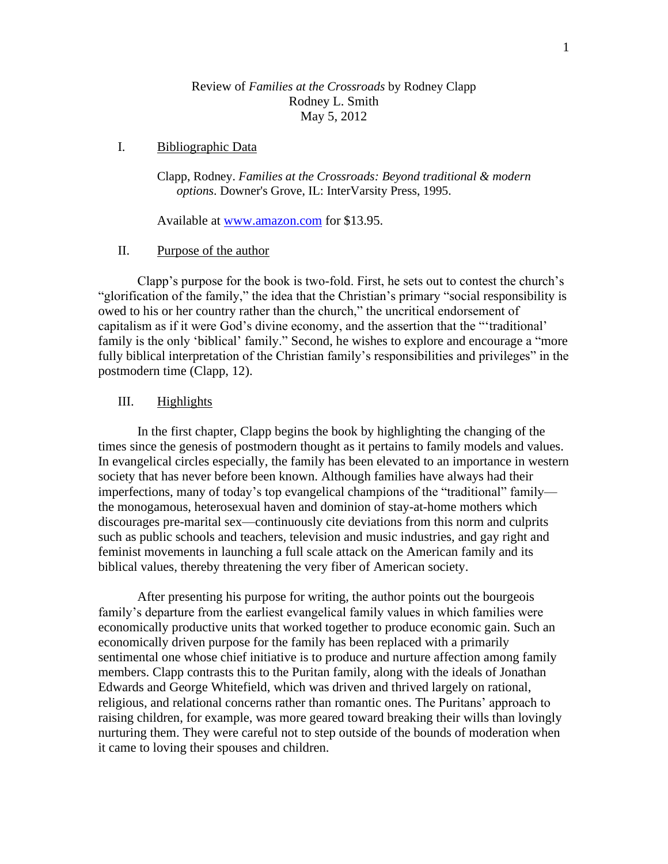# Review of *Families at the Crossroads* by Rodney Clapp Rodney L. Smith May 5, 2012

# I. Bibliographic Data

Clapp, Rodney. *Families at the Crossroads: Beyond traditional & modern options*. Downer's Grove, IL: InterVarsity Press, 1995.

Available at [www.amazon.com](http://www.amazon.com/) for \$13.95.

## II. Purpose of the author

Clapp's purpose for the book is two-fold. First, he sets out to contest the church's "glorification of the family," the idea that the Christian's primary "social responsibility is owed to his or her country rather than the church," the uncritical endorsement of capitalism as if it were God's divine economy, and the assertion that the "'traditional' family is the only 'biblical' family." Second, he wishes to explore and encourage a "more fully biblical interpretation of the Christian family's responsibilities and privileges" in the postmodern time (Clapp, 12).

## III. Highlights

In the first chapter, Clapp begins the book by highlighting the changing of the times since the genesis of postmodern thought as it pertains to family models and values. In evangelical circles especially, the family has been elevated to an importance in western society that has never before been known. Although families have always had their imperfections, many of today's top evangelical champions of the "traditional" family the monogamous, heterosexual haven and dominion of stay-at-home mothers which discourages pre-marital sex—continuously cite deviations from this norm and culprits such as public schools and teachers, television and music industries, and gay right and feminist movements in launching a full scale attack on the American family and its biblical values, thereby threatening the very fiber of American society.

After presenting his purpose for writing, the author points out the bourgeois family's departure from the earliest evangelical family values in which families were economically productive units that worked together to produce economic gain. Such an economically driven purpose for the family has been replaced with a primarily sentimental one whose chief initiative is to produce and nurture affection among family members. Clapp contrasts this to the Puritan family, along with the ideals of Jonathan Edwards and George Whitefield, which was driven and thrived largely on rational, religious, and relational concerns rather than romantic ones. The Puritans' approach to raising children, for example, was more geared toward breaking their wills than lovingly nurturing them. They were careful not to step outside of the bounds of moderation when it came to loving their spouses and children.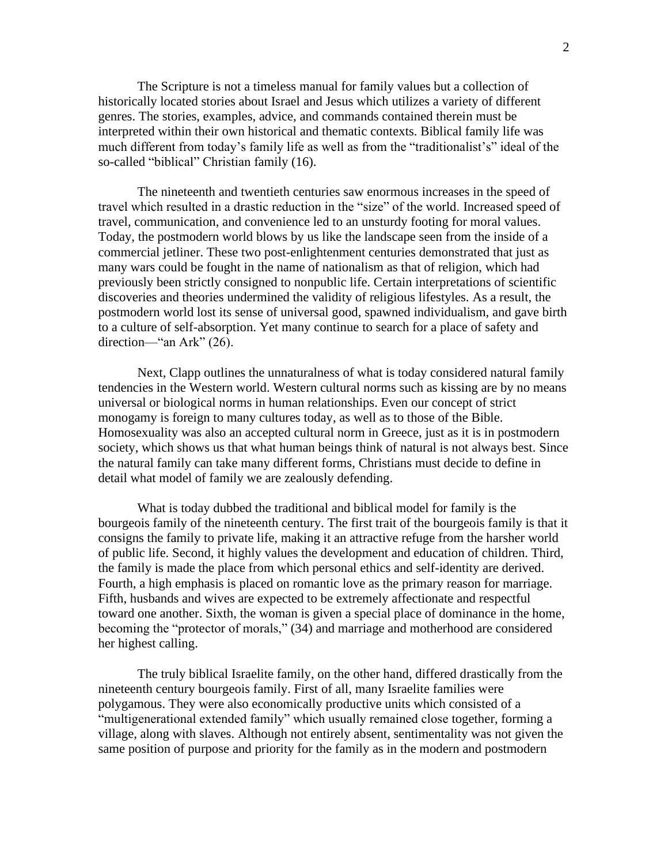The Scripture is not a timeless manual for family values but a collection of historically located stories about Israel and Jesus which utilizes a variety of different genres. The stories, examples, advice, and commands contained therein must be interpreted within their own historical and thematic contexts. Biblical family life was much different from today's family life as well as from the "traditionalist's" ideal of the so-called "biblical" Christian family (16).

The nineteenth and twentieth centuries saw enormous increases in the speed of travel which resulted in a drastic reduction in the "size" of the world. Increased speed of travel, communication, and convenience led to an unsturdy footing for moral values. Today, the postmodern world blows by us like the landscape seen from the inside of a commercial jetliner. These two post-enlightenment centuries demonstrated that just as many wars could be fought in the name of nationalism as that of religion, which had previously been strictly consigned to nonpublic life. Certain interpretations of scientific discoveries and theories undermined the validity of religious lifestyles. As a result, the postmodern world lost its sense of universal good, spawned individualism, and gave birth to a culture of self-absorption. Yet many continue to search for a place of safety and direction—"an Ark" (26).

Next, Clapp outlines the unnaturalness of what is today considered natural family tendencies in the Western world. Western cultural norms such as kissing are by no means universal or biological norms in human relationships. Even our concept of strict monogamy is foreign to many cultures today, as well as to those of the Bible. Homosexuality was also an accepted cultural norm in Greece, just as it is in postmodern society, which shows us that what human beings think of natural is not always best. Since the natural family can take many different forms, Christians must decide to define in detail what model of family we are zealously defending.

What is today dubbed the traditional and biblical model for family is the bourgeois family of the nineteenth century. The first trait of the bourgeois family is that it consigns the family to private life, making it an attractive refuge from the harsher world of public life. Second, it highly values the development and education of children. Third, the family is made the place from which personal ethics and self-identity are derived. Fourth, a high emphasis is placed on romantic love as the primary reason for marriage. Fifth, husbands and wives are expected to be extremely affectionate and respectful toward one another. Sixth, the woman is given a special place of dominance in the home, becoming the "protector of morals," (34) and marriage and motherhood are considered her highest calling.

The truly biblical Israelite family, on the other hand, differed drastically from the nineteenth century bourgeois family. First of all, many Israelite families were polygamous. They were also economically productive units which consisted of a "multigenerational extended family" which usually remained close together, forming a village, along with slaves. Although not entirely absent, sentimentality was not given the same position of purpose and priority for the family as in the modern and postmodern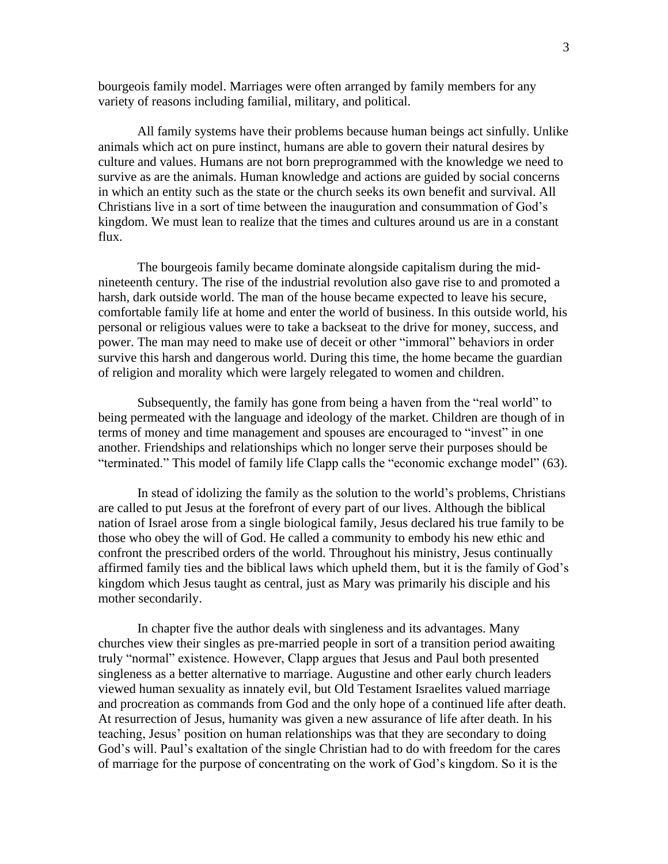bourgeois family model. Marriages were often arranged by family members for any variety of reasons including familial, military, and political.

All family systems have their problems because human beings act sinfully. Unlike animals which act on pure instinct, humans are able to govern their natural desires by culture and values. Humans are not born preprogrammed with the knowledge we need to survive as are the animals. Human knowledge and actions are guided by social concerns in which an entity such as the state or the church seeks its own benefit and survival. All Christians live in a sort of time between the inauguration and consummation of God's kingdom. We must lean to realize that the times and cultures around us are in a constant flux.

The bourgeois family became dominate alongside capitalism during the midnineteenth century. The rise of the industrial revolution also gave rise to and promoted a harsh, dark outside world. The man of the house became expected to leave his secure, comfortable family life at home and enter the world of business. In this outside world, his personal or religious values were to take a backseat to the drive for money, success, and power. The man may need to make use of deceit or other "immoral" behaviors in order survive this harsh and dangerous world. During this time, the home became the guardian of religion and morality which were largely relegated to women and children.

Subsequently, the family has gone from being a haven from the "real world" to being permeated with the language and ideology of the market. Children are though of in terms of money and time management and spouses are encouraged to "invest" in one another. Friendships and relationships which no longer serve their purposes should be "terminated." This model of family life Clapp calls the "economic exchange model" (63).

In stead of idolizing the family as the solution to the world's problems, Christians are called to put Jesus at the forefront of every part of our lives. Although the biblical nation of Israel arose from a single biological family, Jesus declared his true family to be those who obey the will of God. He called a community to embody his new ethic and confront the prescribed orders of the world. Throughout his ministry, Jesus continually affirmed family ties and the biblical laws which upheld them, but it is the family of God's kingdom which Jesus taught as central, just as Mary was primarily his disciple and his mother secondarily.

In chapter five the author deals with singleness and its advantages. Many churches view their singles as pre-married people in sort of a transition period awaiting truly "normal" existence. However, Clapp argues that Jesus and Paul both presented singleness as a better alternative to marriage. Augustine and other early church leaders viewed human sexuality as innately evil, but Old Testament Israelites valued marriage and procreation as commands from God and the only hope of a continued life after death. At resurrection of Jesus, humanity was given a new assurance of life after death. In his teaching, Jesus' position on human relationships was that they are secondary to doing God's will. Paul's exaltation of the single Christian had to do with freedom for the cares of marriage for the purpose of concentrating on the work of God's kingdom. So it is the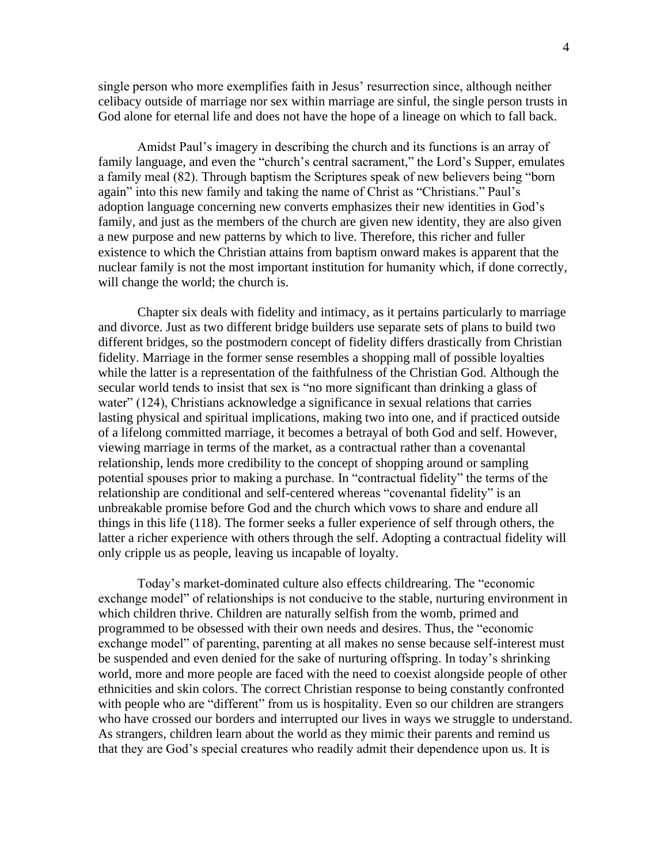single person who more exemplifies faith in Jesus' resurrection since, although neither celibacy outside of marriage nor sex within marriage are sinful, the single person trusts in God alone for eternal life and does not have the hope of a lineage on which to fall back.

Amidst Paul's imagery in describing the church and its functions is an array of family language, and even the "church's central sacrament," the Lord's Supper, emulates a family meal (82). Through baptism the Scriptures speak of new believers being "born again" into this new family and taking the name of Christ as "Christians." Paul's adoption language concerning new converts emphasizes their new identities in God's family, and just as the members of the church are given new identity, they are also given a new purpose and new patterns by which to live. Therefore, this richer and fuller existence to which the Christian attains from baptism onward makes is apparent that the nuclear family is not the most important institution for humanity which, if done correctly, will change the world; the church is.

Chapter six deals with fidelity and intimacy, as it pertains particularly to marriage and divorce. Just as two different bridge builders use separate sets of plans to build two different bridges, so the postmodern concept of fidelity differs drastically from Christian fidelity. Marriage in the former sense resembles a shopping mall of possible loyalties while the latter is a representation of the faithfulness of the Christian God. Although the secular world tends to insist that sex is "no more significant than drinking a glass of water" (124), Christians acknowledge a significance in sexual relations that carries lasting physical and spiritual implications, making two into one, and if practiced outside of a lifelong committed marriage, it becomes a betrayal of both God and self. However, viewing marriage in terms of the market, as a contractual rather than a covenantal relationship, lends more credibility to the concept of shopping around or sampling potential spouses prior to making a purchase. In "contractual fidelity" the terms of the relationship are conditional and self-centered whereas "covenantal fidelity" is an unbreakable promise before God and the church which vows to share and endure all things in this life (118). The former seeks a fuller experience of self through others, the latter a richer experience with others through the self. Adopting a contractual fidelity will only cripple us as people, leaving us incapable of loyalty.

Today's market-dominated culture also effects childrearing. The "economic exchange model" of relationships is not conducive to the stable, nurturing environment in which children thrive. Children are naturally selfish from the womb, primed and programmed to be obsessed with their own needs and desires. Thus, the "economic exchange model" of parenting, parenting at all makes no sense because self-interest must be suspended and even denied for the sake of nurturing offspring. In today's shrinking world, more and more people are faced with the need to coexist alongside people of other ethnicities and skin colors. The correct Christian response to being constantly confronted with people who are "different" from us is hospitality. Even so our children are strangers who have crossed our borders and interrupted our lives in ways we struggle to understand. As strangers, children learn about the world as they mimic their parents and remind us that they are God's special creatures who readily admit their dependence upon us. It is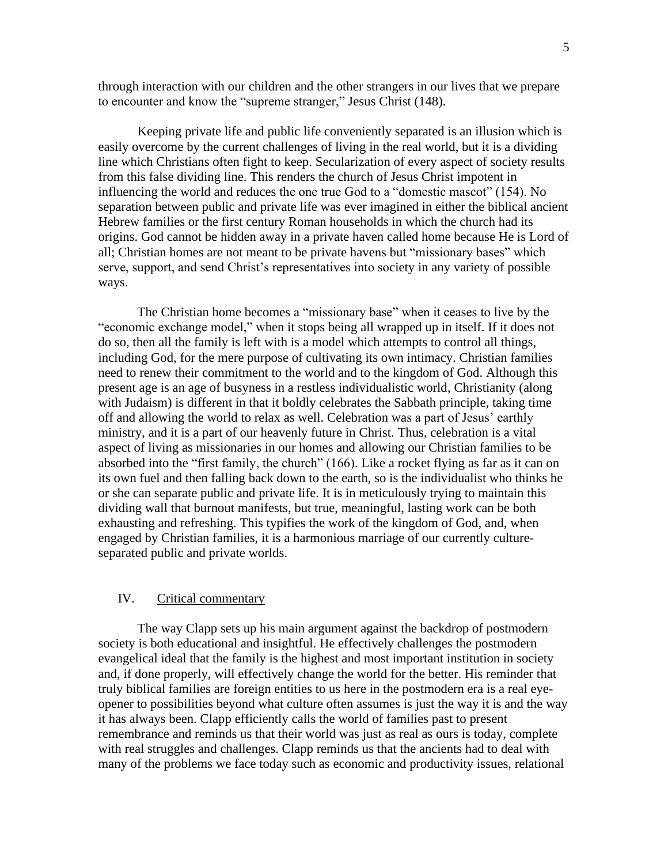through interaction with our children and the other strangers in our lives that we prepare to encounter and know the "supreme stranger," Jesus Christ (148).

Keeping private life and public life conveniently separated is an illusion which is easily overcome by the current challenges of living in the real world, but it is a dividing line which Christians often fight to keep. Secularization of every aspect of society results from this false dividing line. This renders the church of Jesus Christ impotent in influencing the world and reduces the one true God to a "domestic mascot" (154). No separation between public and private life was ever imagined in either the biblical ancient Hebrew families or the first century Roman households in which the church had its origins. God cannot be hidden away in a private haven called home because He is Lord of all; Christian homes are not meant to be private havens but "missionary bases" which serve, support, and send Christ's representatives into society in any variety of possible ways.

The Christian home becomes a "missionary base" when it ceases to live by the "economic exchange model," when it stops being all wrapped up in itself. If it does not do so, then all the family is left with is a model which attempts to control all things, including God, for the mere purpose of cultivating its own intimacy. Christian families need to renew their commitment to the world and to the kingdom of God. Although this present age is an age of busyness in a restless individualistic world, Christianity (along with Judaism) is different in that it boldly celebrates the Sabbath principle, taking time off and allowing the world to relax as well. Celebration was a part of Jesus' earthly ministry, and it is a part of our heavenly future in Christ. Thus, celebration is a vital aspect of living as missionaries in our homes and allowing our Christian families to be absorbed into the "first family, the church" (166). Like a rocket flying as far as it can on its own fuel and then falling back down to the earth, so is the individualist who thinks he or she can separate public and private life. It is in meticulously trying to maintain this dividing wall that burnout manifests, but true, meaningful, lasting work can be both exhausting and refreshing. This typifies the work of the kingdom of God, and, when engaged by Christian families, it is a harmonious marriage of our currently cultureseparated public and private worlds.

## IV. Critical commentary

The way Clapp sets up his main argument against the backdrop of postmodern society is both educational and insightful. He effectively challenges the postmodern evangelical ideal that the family is the highest and most important institution in society and, if done properly, will effectively change the world for the better. His reminder that truly biblical families are foreign entities to us here in the postmodern era is a real eyeopener to possibilities beyond what culture often assumes is just the way it is and the way it has always been. Clapp efficiently calls the world of families past to present remembrance and reminds us that their world was just as real as ours is today, complete with real struggles and challenges. Clapp reminds us that the ancients had to deal with many of the problems we face today such as economic and productivity issues, relational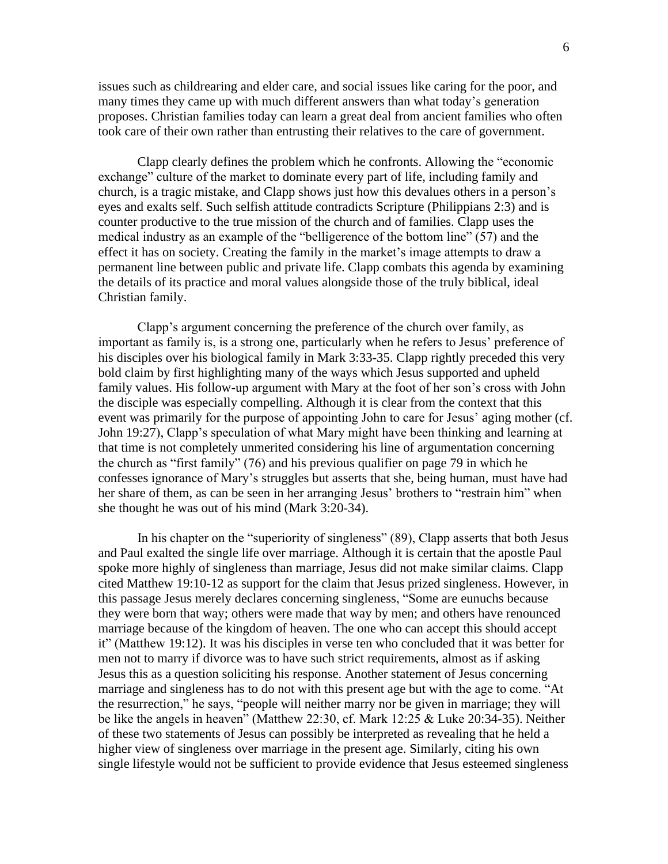issues such as childrearing and elder care, and social issues like caring for the poor, and many times they came up with much different answers than what today's generation proposes. Christian families today can learn a great deal from ancient families who often took care of their own rather than entrusting their relatives to the care of government.

Clapp clearly defines the problem which he confronts. Allowing the "economic exchange" culture of the market to dominate every part of life, including family and church, is a tragic mistake, and Clapp shows just how this devalues others in a person's eyes and exalts self. Such selfish attitude contradicts Scripture (Philippians 2:3) and is counter productive to the true mission of the church and of families. Clapp uses the medical industry as an example of the "belligerence of the bottom line" (57) and the effect it has on society. Creating the family in the market's image attempts to draw a permanent line between public and private life. Clapp combats this agenda by examining the details of its practice and moral values alongside those of the truly biblical, ideal Christian family.

Clapp's argument concerning the preference of the church over family, as important as family is, is a strong one, particularly when he refers to Jesus' preference of his disciples over his biological family in Mark 3:33-35. Clapp rightly preceded this very bold claim by first highlighting many of the ways which Jesus supported and upheld family values. His follow-up argument with Mary at the foot of her son's cross with John the disciple was especially compelling. Although it is clear from the context that this event was primarily for the purpose of appointing John to care for Jesus' aging mother (cf. John 19:27), Clapp's speculation of what Mary might have been thinking and learning at that time is not completely unmerited considering his line of argumentation concerning the church as "first family" (76) and his previous qualifier on page 79 in which he confesses ignorance of Mary's struggles but asserts that she, being human, must have had her share of them, as can be seen in her arranging Jesus' brothers to "restrain him" when she thought he was out of his mind (Mark 3:20-34).

In his chapter on the "superiority of singleness" (89), Clapp asserts that both Jesus and Paul exalted the single life over marriage. Although it is certain that the apostle Paul spoke more highly of singleness than marriage, Jesus did not make similar claims. Clapp cited Matthew 19:10-12 as support for the claim that Jesus prized singleness. However, in this passage Jesus merely declares concerning singleness, "Some are eunuchs because they were born that way; others were made that way by men; and others have renounced marriage because of the kingdom of heaven. The one who can accept this should accept it" (Matthew 19:12). It was his disciples in verse ten who concluded that it was better for men not to marry if divorce was to have such strict requirements, almost as if asking Jesus this as a question soliciting his response. Another statement of Jesus concerning marriage and singleness has to do not with this present age but with the age to come. "At the resurrection," he says, "people will neither marry nor be given in marriage; they will be like the angels in heaven" (Matthew 22:30, cf. Mark 12:25 & Luke 20:34-35). Neither of these two statements of Jesus can possibly be interpreted as revealing that he held a higher view of singleness over marriage in the present age. Similarly, citing his own single lifestyle would not be sufficient to provide evidence that Jesus esteemed singleness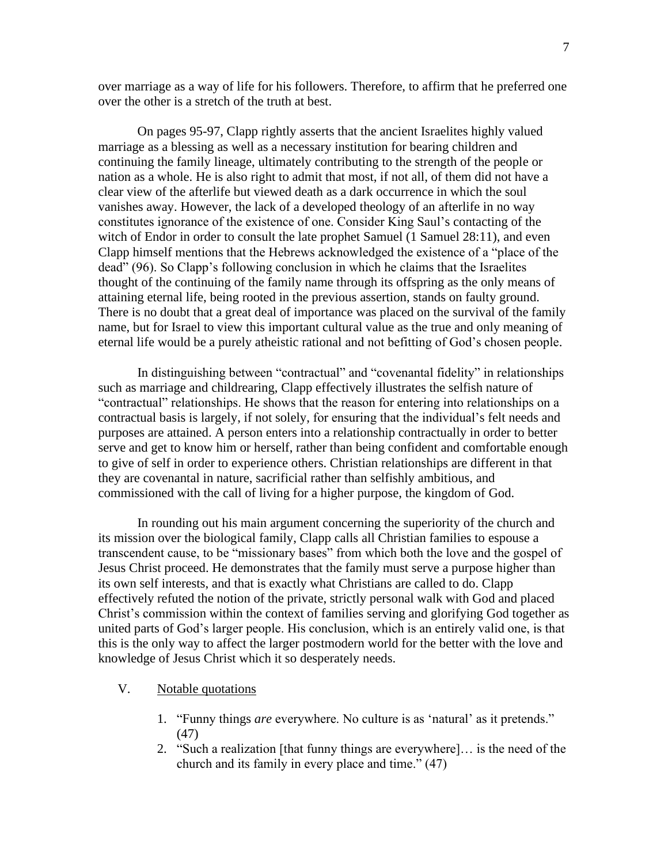over marriage as a way of life for his followers. Therefore, to affirm that he preferred one over the other is a stretch of the truth at best.

On pages 95-97, Clapp rightly asserts that the ancient Israelites highly valued marriage as a blessing as well as a necessary institution for bearing children and continuing the family lineage, ultimately contributing to the strength of the people or nation as a whole. He is also right to admit that most, if not all, of them did not have a clear view of the afterlife but viewed death as a dark occurrence in which the soul vanishes away. However, the lack of a developed theology of an afterlife in no way constitutes ignorance of the existence of one. Consider King Saul's contacting of the witch of Endor in order to consult the late prophet Samuel (1 Samuel 28:11), and even Clapp himself mentions that the Hebrews acknowledged the existence of a "place of the dead" (96). So Clapp's following conclusion in which he claims that the Israelites thought of the continuing of the family name through its offspring as the only means of attaining eternal life, being rooted in the previous assertion, stands on faulty ground. There is no doubt that a great deal of importance was placed on the survival of the family name, but for Israel to view this important cultural value as the true and only meaning of eternal life would be a purely atheistic rational and not befitting of God's chosen people.

In distinguishing between "contractual" and "covenantal fidelity" in relationships such as marriage and childrearing, Clapp effectively illustrates the selfish nature of "contractual" relationships. He shows that the reason for entering into relationships on a contractual basis is largely, if not solely, for ensuring that the individual's felt needs and purposes are attained. A person enters into a relationship contractually in order to better serve and get to know him or herself, rather than being confident and comfortable enough to give of self in order to experience others. Christian relationships are different in that they are covenantal in nature, sacrificial rather than selfishly ambitious, and commissioned with the call of living for a higher purpose, the kingdom of God.

In rounding out his main argument concerning the superiority of the church and its mission over the biological family, Clapp calls all Christian families to espouse a transcendent cause, to be "missionary bases" from which both the love and the gospel of Jesus Christ proceed. He demonstrates that the family must serve a purpose higher than its own self interests, and that is exactly what Christians are called to do. Clapp effectively refuted the notion of the private, strictly personal walk with God and placed Christ's commission within the context of families serving and glorifying God together as united parts of God's larger people. His conclusion, which is an entirely valid one, is that this is the only way to affect the larger postmodern world for the better with the love and knowledge of Jesus Christ which it so desperately needs.

- V. Notable quotations
	- 1. "Funny things *are* everywhere. No culture is as 'natural' as it pretends." (47)
	- 2. "Such a realization [that funny things are everywhere]… is the need of the church and its family in every place and time." (47)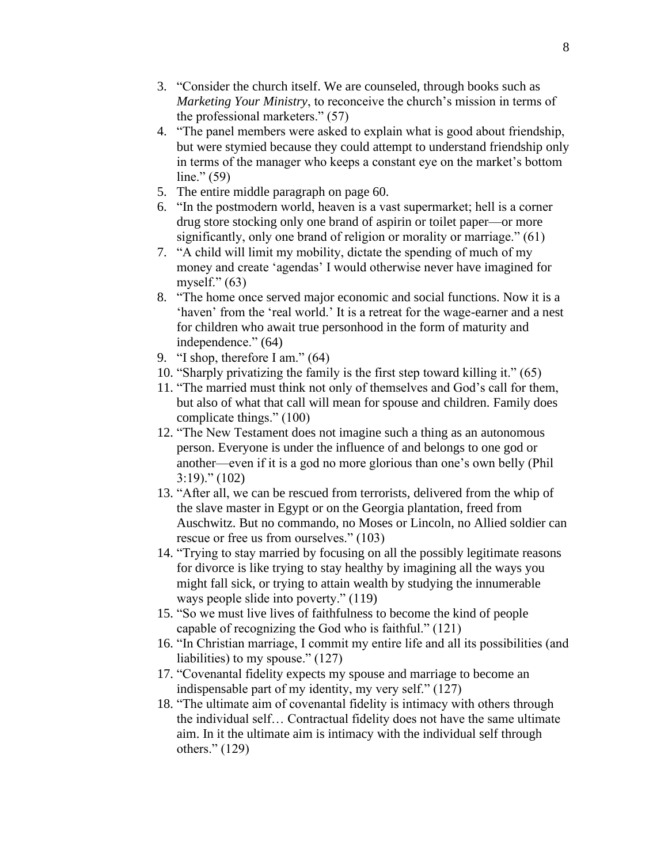- 3. "Consider the church itself. We are counseled, through books such as *Marketing Your Ministry*, to reconceive the church's mission in terms of the professional marketers." (57)
- 4. "The panel members were asked to explain what is good about friendship, but were stymied because they could attempt to understand friendship only in terms of the manager who keeps a constant eye on the market's bottom line."  $(59)$
- 5. The entire middle paragraph on page 60.
- 6. "In the postmodern world, heaven is a vast supermarket; hell is a corner drug store stocking only one brand of aspirin or toilet paper—or more significantly, only one brand of religion or morality or marriage." (61)
- 7. "A child will limit my mobility, dictate the spending of much of my money and create 'agendas' I would otherwise never have imagined for myself."  $(63)$
- 8. "The home once served major economic and social functions. Now it is a 'haven' from the 'real world.' It is a retreat for the wage-earner and a nest for children who await true personhood in the form of maturity and independence." (64)
- 9. "I shop, therefore I am." (64)
- 10. "Sharply privatizing the family is the first step toward killing it." (65)
- 11. "The married must think not only of themselves and God's call for them, but also of what that call will mean for spouse and children. Family does complicate things." (100)
- 12. "The New Testament does not imagine such a thing as an autonomous person. Everyone is under the influence of and belongs to one god or another—even if it is a god no more glorious than one's own belly (Phil 3:19)." (102)
- 13. "After all, we can be rescued from terrorists, delivered from the whip of the slave master in Egypt or on the Georgia plantation, freed from Auschwitz. But no commando, no Moses or Lincoln, no Allied soldier can rescue or free us from ourselves." (103)
- 14. "Trying to stay married by focusing on all the possibly legitimate reasons for divorce is like trying to stay healthy by imagining all the ways you might fall sick, or trying to attain wealth by studying the innumerable ways people slide into poverty." (119)
- 15. "So we must live lives of faithfulness to become the kind of people capable of recognizing the God who is faithful." (121)
- 16. "In Christian marriage, I commit my entire life and all its possibilities (and liabilities) to my spouse." (127)
- 17. "Covenantal fidelity expects my spouse and marriage to become an indispensable part of my identity, my very self." (127)
- 18. "The ultimate aim of covenantal fidelity is intimacy with others through the individual self… Contractual fidelity does not have the same ultimate aim. In it the ultimate aim is intimacy with the individual self through others." (129)